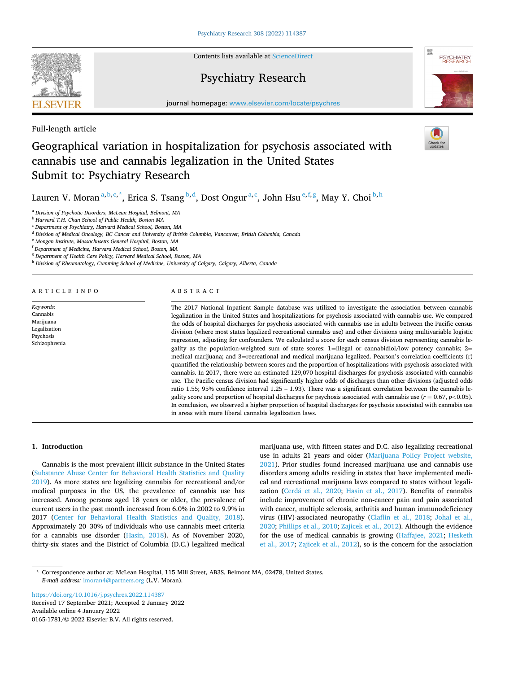**ELSEVIER** 

Contents lists available at [ScienceDirect](www.sciencedirect.com/science/journal/01651781)

# Psychiatry Research



journal homepage: [www.elsevier.com/locate/psychres](https://www.elsevier.com/locate/psychres)

# Full-length article

# Geographical variation in hospitalization for psychosis associated with cannabis use and cannabis legalization in the United States Submit to: Psychiatry Research

Lauren V. Moran<sup>a,b,c,\*</sup>, Erica S. Tsang <sup>b,d</sup>, Dost Ongur<sup>a,c</sup>, John Hsu<sup>e,f,g</sup>, May Y. Choi <sup>b,h</sup>

<sup>a</sup> *Division of Psychotic Disorders, McLean Hospital, Belmont, MA* 

<sup>b</sup> *Harvard T.H. Chan School of Public Health, Boston MA* 

<sup>c</sup> *Department of Psychiatry, Harvard Medical School, Boston, MA* 

<sup>d</sup> *Division of Medical Oncology, BC Cancer and University of British Columbia, Vancouver, British Columbia, Canada* 

<sup>e</sup> *Mongan Institute, Massachusetts General Hospital, Boston, MA* 

<sup>f</sup> *Department of Medicine, Harvard Medical School, Boston, MA* 

<sup>g</sup> *Department of Health Care Policy, Harvard Medical School, Boston, MA* 

<sup>h</sup> *Division of Rheumatology, Cumming School of Medicine, University of Calgary, Calgary, Alberta, Canada* 

# ARTICLE INFO

*Keywords:*  Cannabis Marijuana Legalization Psychosis Schizophrenia

# ABSTRACT

The 2017 National Inpatient Sample database was utilized to investigate the association between cannabis legalization in the United States and hospitalizations for psychosis associated with cannabis use. We compared the odds of hospital discharges for psychosis associated with cannabis use in adults between the Pacific census division (where most states legalized recreational cannabis use) and other divisions using multivariable logistic regression, adjusting for confounders. We calculated a score for each census division representing cannabis legality as the population-weighted sum of state scores:  $1=$ illegal or cannabidiol/low potency cannabis;  $2=$ medical marijuana; and 3=recreational and medical marijuana legalized. Pearson's correlation coefficients (r) quantified the relationship between scores and the proportion of hospitalizations with psychosis associated with cannabis. In 2017, there were an estimated 129,070 hospital discharges for psychosis associated with cannabis use. The Pacific census division had significantly higher odds of discharges than other divisions (adjusted odds ratio 1.55; 95% confidence interval  $1.25 - 1.93$ ). There was a significant correlation between the cannabis legality score and proportion of hospital discharges for psychosis associated with cannabis use (*r* = 0.67, *p<*0.05). In conclusion, we observed a higher proportion of hospital discharges for psychosis associated with cannabis use in areas with more liberal cannabis legalization laws.

# **1. Introduction**

Cannabis is the most prevalent illicit substance in the United States ([Substance Abuse Center for Behavioral Health Statistics and Quality](#page-6-0)  [2019\)](#page-6-0). As more states are legalizing cannabis for recreational and/or medical purposes in the US, the prevalence of cannabis use has increased. Among persons aged 18 years or older, the prevalence of current users in the past month increased from 6.0% in 2002 to 9.9% in 2017 [\(Center for Behavioral Health Statistics and Quality, 2018](#page-5-0)). Approximately 20–30% of individuals who use cannabis meet criteria for a cannabis use disorder ([Hasin, 2018](#page-5-0)). As of November 2020, thirty-six states and the District of Columbia (D.C.) legalized medical marijuana use, with fifteen states and D.C. also legalizing recreational use in adults 21 years and older ([Marijuana Policy Project website,](#page-6-0)  [2021\)](#page-6-0). Prior studies found increased marijuana use and cannabis use disorders among adults residing in states that have implemented medical and recreational marijuana laws compared to states without legalization (Cerdá [et al., 2020](#page-5-0); [Hasin et al., 2017](#page-5-0)). Benefits of cannabis include improvement of chronic non-cancer pain and pain associated with cancer, multiple sclerosis, arthritis and human immunodeficiency virus (HIV)-associated neuropathy [\(Claflin et al., 2018](#page-5-0); [Johal et al.,](#page-6-0)  [2020; Phillips et al., 2010](#page-6-0); [Zajicek et al., 2012](#page-6-0)). Although the evidence for the use of medical cannabis is growing [\(Haffajee, 2021;](#page-5-0) [Hesketh](#page-6-0)  [et al., 2017](#page-6-0); [Zajicek et al., 2012](#page-6-0)), so is the concern for the association

Available online 4 January 2022 0165-1781/© 2022 Elsevier B.V. All rights reserved. <https://doi.org/10.1016/j.psychres.2022.114387> Received 17 September 2021; Accepted 2 January 2022

<sup>\*</sup> Correspondence author at: McLean Hospital, 115 Mill Street, AB3S, Belmont MA, 02478, United States. *E-mail address:* [lmoran4@partners.org](mailto:lmoran4@partners.org) (L.V. Moran).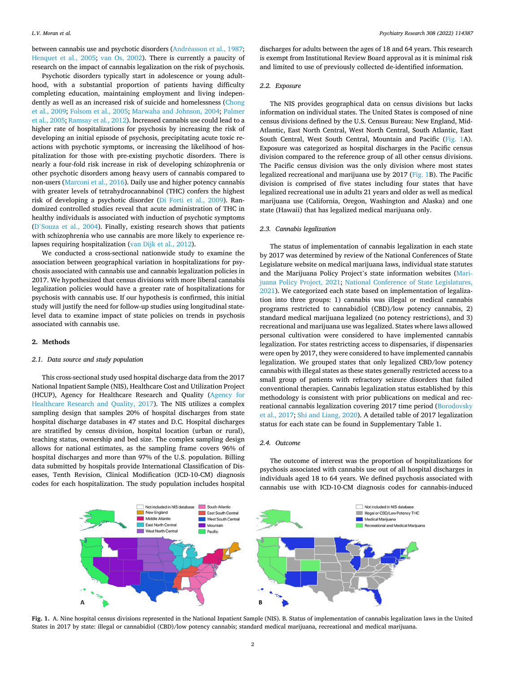between cannabis use and psychotic disorders (Andréasson et al., 1987; [Henquet et al., 2005](#page-5-0); [van Os, 2002\)](#page-6-0). There is currently a paucity of research on the impact of cannabis legalization on the risk of psychosis.

Psychotic disorders typically start in adolescence or young adulthood, with a substantial proportion of patients having difficulty completing education, maintaining employment and living independently as well as an increased risk of suicide and homelessness [\(Chong](#page-5-0)  [et al., 2009](#page-5-0); [Folsom et al., 2005](#page-5-0); [Marwaha and Johnson, 2004](#page-6-0); [Palmer](#page-6-0)  [et al., 2005; Ramsay et al., 2012](#page-6-0)). Increased cannabis use could lead to a higher rate of hospitalizations for psychosis by increasing the risk of developing an initial episode of psychosis, precipitating acute toxic reactions with psychotic symptoms, or increasing the likelihood of hospitalization for those with pre-existing psychotic disorders. There is nearly a four-fold risk increase in risk of developing schizophrenia or other psychotic disorders among heavy users of cannabis compared to non-users [\(Marconi et al., 2016\)](#page-6-0). Daily use and higher potency cannabis with greater levels of tetrahydrocannabinol (THC) confers the highest risk of developing a psychotic disorder [\(Di Forti et al., 2009](#page-5-0)). Randomized controlled studies reveal that acute administration of THC in healthy individuals is associated with induction of psychotic symptoms (D'[Souza et al., 2004\)](#page-5-0). Finally, existing research shows that patients with schizophrenia who use cannabis are more likely to experience relapses requiring hospitalization ([van Dijk et al., 2012](#page-6-0)).

We conducted a cross-sectional nationwide study to examine the association between geographical variation in hospitalizations for psychosis associated with cannabis use and cannabis legalization policies in 2017. We hypothesized that census divisions with more liberal cannabis legalization policies would have a greater rate of hospitalizations for psychosis with cannabis use. If our hypothesis is confirmed, this initial study will justify the need for follow-up studies using longitudinal statelevel data to examine impact of state policies on trends in psychosis associated with cannabis use.

#### **2. Methods**

## *2.1. Data source and study population*

This cross-sectional study used hospital discharge data from the 2017 National Inpatient Sample (NIS), Healthcare Cost and Utilization Project (HCUP), Agency for Healthcare Research and Quality [\(Agency for](#page-5-0)  [Healthcare Research and Quality, 2017](#page-5-0)). The NIS utilizes a complex sampling design that samples 20% of hospital discharges from state hospital discharge databases in 47 states and D.C. Hospital discharges are stratified by census division, hospital location (urban or rural), teaching status, ownership and bed size. The complex sampling design allows for national estimates, as the sampling frame covers 96% of hospital discharges and more than 97% of the U.S. population. Billing data submitted by hospitals provide International Classification of Diseases, Tenth Revision, Clinical Modification (ICD-10-CM) diagnosis codes for each hospitalization. The study population includes hospital

discharges for adults between the ages of 18 and 64 years. This research is exempt from Institutional Review Board approval as it is minimal risk and limited to use of previously collected de-identified information.

# *2.2. Exposure*

The NIS provides geographical data on census divisions but lacks information on individual states. The United States is composed of nine census divisions defined by the U.S. Census Bureau: New England, Mid-Atlantic, East North Central, West North Central, South Atlantic, East South Central, West South Central, Mountain and Pacific (Fig. 1A). Exposure was categorized as hospital discharges in the Pacific census division compared to the reference group of all other census divisions. The Pacific census division was the only division where most states legalized recreational and marijuana use by 2017 (Fig. 1B). The Pacific division is comprised of five states including four states that have legalized recreational use in adults 21 years and older as well as medical marijuana use (California, Oregon, Washington and Alaska) and one state (Hawaii) that has legalized medical marijuana only.

# *2.3. Cannabis legalization*

The status of implementation of cannabis legalization in each state by 2017 was determined by review of the National Conferences of State Legislature website on medical marijuana laws, individual state statutes and the Marijuana Policy Project's state information websites ([Mari](#page-6-0)[juana Policy Project, 2021;](#page-6-0) [National Conference of State Legislatures,](#page-6-0)  [2021\)](#page-6-0). We categorized each state based on implementation of legalization into three groups: 1) cannabis was illegal or medical cannabis programs restricted to cannabidiol (CBD)/low potency cannabis, 2) standard medical marijuana legalized (no potency restrictions), and 3) recreational and marijuana use was legalized. States where laws allowed personal cultivation were considered to have implemented cannabis legalization. For states restricting access to dispensaries, if dispensaries were open by 2017, they were considered to have implemented cannabis legalization. We grouped states that only legalized CBD/low potency cannabis with illegal states as these states generally restricted access to a small group of patients with refractory seizure disorders that failed conventional therapies. Cannabis legalization status established by this methodology is consistent with prior publications on medical and recreational cannabis legalization covering 2017 time period [\(Borodovsky](#page-5-0)  [et al., 2017;](#page-5-0) [Shi and Liang, 2020\)](#page-6-0). A detailed table of 2017 legalization status for each state can be found in Supplementary Table 1.

### *2.4. Outcome*

The outcome of interest was the proportion of hospitalizations for psychosis associated with cannabis use out of all hospital discharges in individuals aged 18 to 64 years. We defined psychosis associated with cannabis use with ICD-10-CM diagnosis codes for cannabis-induced



**Fig. 1.** A. Nine hospital census divisions represented in the National Inpatient Sample (NIS). B. Status of implementation of cannabis legalization laws in the United States in 2017 by state: illegal or cannabidiol (CBD)/low potency cannabis; standard medical marijuana, recreational and medical marijuana.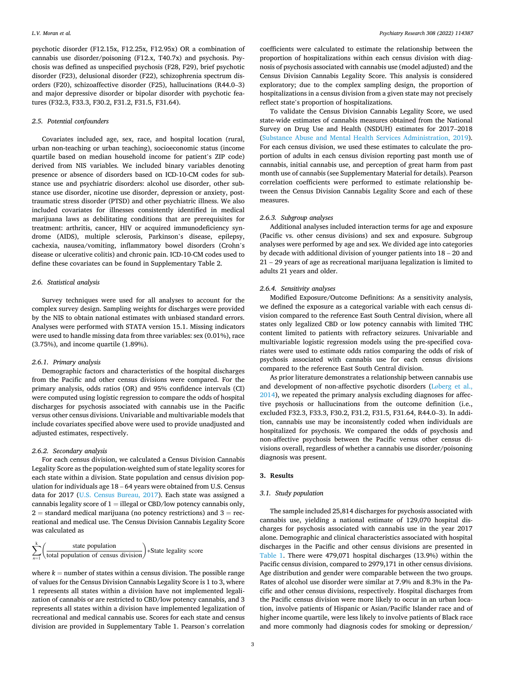psychotic disorder (F12.15x, F12.25x, F12.95x) OR a combination of cannabis use disorder/poisoning (F12.x, T40.7x) and psychosis. Psychosis was defined as unspecified psychosis (F28, F29), brief psychotic disorder (F23), delusional disorder (F22), schizophrenia spectrum disorders (F20), schizoaffective disorder (F25), hallucinations (R44.0–3) and major depressive disorder or bipolar disorder with psychotic features (F32.3, F33.3, F30.2, F31.2, F31.5, F31.64).

## *2.5. Potential confounders*

Covariates included age, sex, race, and hospital location (rural, urban non-teaching or urban teaching), socioeconomic status (income quartile based on median household income for patient's ZIP code) derived from NIS variables. We included binary variables denoting presence or absence of disorders based on ICD-10-CM codes for substance use and psychiatric disorders: alcohol use disorder, other substance use disorder, nicotine use disorder, depression or anxiety, posttraumatic stress disorder (PTSD) and other psychiatric illness. We also included covariates for illnesses consistently identified in medical marijuana laws as debilitating conditions that are prerequisites for treatment: arthritis, cancer, HIV or acquired immunodeficiency syndrome (AIDS), multiple sclerosis, Parkinson's disease, epilepsy, cachexia, nausea/vomiting, inflammatory bowel disorders (Crohn's disease or ulcerative colitis) and chronic pain. ICD-10-CM codes used to define these covariates can be found in Supplementary Table 2.

# *2.6. Statistical analysis*

Survey techniques were used for all analyses to account for the complex survey design. Sampling weights for discharges were provided by the NIS to obtain national estimates with unbiased standard errors. Analyses were performed with STATA version 15.1. Missing indicators were used to handle missing data from three variables: sex (0.01%), race (3.75%), and income quartile (1.89%).

#### *2.6.1. Primary analysis*

Demographic factors and characteristics of the hospital discharges from the Pacific and other census divisions were compared. For the primary analysis, odds ratios (OR) and 95% confidence intervals (CI) were computed using logistic regression to compare the odds of hospital discharges for psychosis associated with cannabis use in the Pacific versus other census divisions. Univariable and multivariable models that include covariates specified above were used to provide unadjusted and adjusted estimates, respectively.

## *2.6.2. Secondary analysis*

For each census division, we calculated a Census Division Cannabis Legality Score as the population-weighted sum of state legality scores for each state within a division. State population and census division population for individuals age 18 – 64 years were obtained from U.S. Census data for 2017 [\(U.S. Census Bureau, 2017\)](#page-6-0). Each state was assigned a cannabis legality score of  $1 =$  illegal or CBD/low potency cannabis only,  $2 =$  standard medical marijuana (no potency restrictions) and  $3 =$  recreational and medical use. The Census Division Cannabis Legality Score was calculated as

$$
\sum_{n=1}^{k} \left( \frac{\text{state population}}{\text{total population of census division}} \right) * \text{State legally score}
$$

where  $k =$  number of states within a census division. The possible range of values for the Census Division Cannabis Legality Score is 1 to 3, where 1 represents all states within a division have not implemented legalization of cannabis or are restricted to CBD/low potency cannabis, and 3 represents all states within a division have implemented legalization of recreational and medical cannabis use. Scores for each state and census division are provided in Supplementary Table 1. Pearson's correlation

coefficients were calculated to estimate the relationship between the proportion of hospitalizations within each census division with diagnosis of psychosis associated with cannabis use (model adjusted) and the Census Division Cannabis Legality Score. This analysis is considered exploratory; due to the complex sampling design, the proportion of hospitalizations in a census division from a given state may not precisely reflect state's proportion of hospitalizations.

To validate the Census Division Cannabis Legality Score, we used state-wide estimates of cannabis measures obtained from the National Survey on Drug Use and Health (NSDUH) estimates for 2017–2018 ([Substance Abuse and Mental Health Services Administration, 2019](#page-6-0)). For each census division, we used these estimates to calculate the proportion of adults in each census division reporting past month use of cannabis, initial cannabis use, and perception of great harm from past month use of cannabis (see Supplementary Material for details). Pearson correlation coefficients were performed to estimate relationship between the Census Division Cannabis Legality Score and each of these measures.

# *2.6.3. Subgroup analyses*

Additional analyses included interaction terms for age and exposure (Pacific vs. other census divisions) and sex and exposure. Subgroup analyses were performed by age and sex. We divided age into categories by decade with additional division of younger patients into 18 – 20 and 21 – 29 years of age as recreational marijuana legalization is limited to adults 21 years and older.

### *2.6.4. Sensitivity analyses*

Modified Exposure/Outcome Definitions: As a sensitivity analysis, we defined the exposure as a categorical variable with each census division compared to the reference East South Central division, where all states only legalized CBD or low potency cannabis with limited THC content limited to patients with refractory seizures. Univariable and multivariable logistic regression models using the pre-specified covariates were used to estimate odds ratios comparing the odds of risk of psychosis associated with cannabis use for each census divisions compared to the reference East South Central division.

As prior literature demonstrates a relationship between cannabis use and development of non-affective psychotic disorders (Lø[berg et al.,](#page-6-0)  [2014\)](#page-6-0), we repeated the primary analysis excluding diagnoses for affective psychosis or hallucinations from the outcome definition (i.e., excluded F32.3, F33.3, F30.2, F31.2, F31.5, F31.64, R44.0–3). In addition, cannabis use may be inconsistently coded when individuals are hospitalized for psychosis. We compared the odds of psychosis and non-affective psychosis between the Pacific versus other census divisions overall, regardless of whether a cannabis use disorder/poisoning diagnosis was present.

# **3. Results**

# *3.1. Study population*

The sample included 25,814 discharges for psychosis associated with cannabis use, yielding a national estimate of 129,070 hospital discharges for psychosis associated with cannabis use in the year 2017 alone. Demographic and clinical characteristics associated with hospital discharges in the Pacific and other census divisions are presented in [Table 1](#page-3-0). There were 479,071 hospital discharges (13.9%) within the Pacific census division, compared to 2979,171 in other census divisions. Age distribution and gender were comparable between the two groups. Rates of alcohol use disorder were similar at 7.9% and 8.3% in the Pacific and other census divisions, respectively. Hospital discharges from the Pacific census division were more likely to occur in an urban location, involve patients of Hispanic or Asian/Pacific Islander race and of higher income quartile, were less likely to involve patients of Black race and more commonly had diagnosis codes for smoking or depression/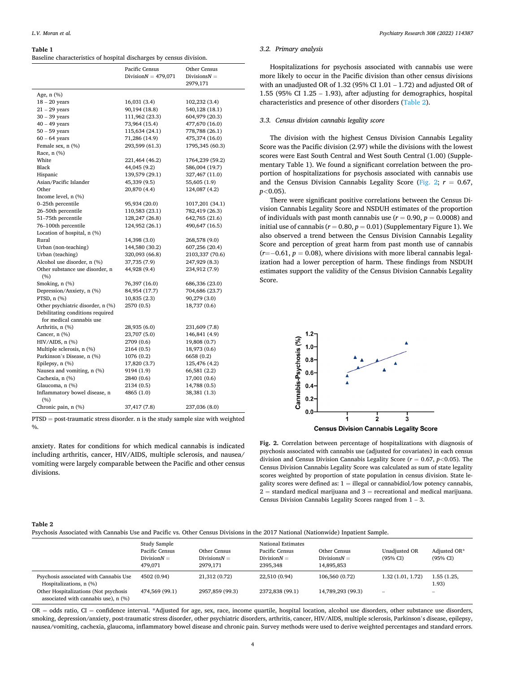#### <span id="page-3-0"></span>**Table 1**

Baseline characteristics of hospital discharges by census division.

|                                        | Pacific Census         | Other Census    |
|----------------------------------------|------------------------|-----------------|
|                                        | Division $N = 479,071$ | Divisions $N =$ |
|                                        |                        | 2979,171        |
| Age, n (%)                             |                        |                 |
| $18 - 20$ years                        | 16,031(3.4)            | 102,232 (3.4)   |
| $21 - 29$ years                        | 90,194 (18.8)          | 540,128 (18.1)  |
| $30 - 39$ years                        | 111,962 (23.3)         | 604,979 (20.3)  |
| $40 - 49$ years                        | 73,964 (15.4)          | 477,670 (16.0)  |
| $50 - 59$ years                        | 115,634 (24.1)         | 778,788 (26.1)  |
| $60 - 64$ years                        | 71,286 (14.9)          | 475,374 (16.0)  |
| Female sex, n (%)                      | 293,599 (61.3)         | 1795,345 (60.3) |
| Race, n (%)                            |                        |                 |
| White                                  | 221,464 (46.2)         | 1764,239 (59.2) |
| Black                                  | 44,045 (9.2)           | 586,004 (19.7)  |
| Hispanic                               | 139,579 (29.1)         | 327,467 (11.0)  |
| Asian/Pacific Islander                 | 45,339 (9.5)           | 55,605 (1.9)    |
| Other                                  | 20,870 (4.4)           | 124,087 (4.2)   |
| Income level, n (%)                    |                        |                 |
| 0-25th percentile                      | 95,934 (20.0)          | 1017,201 (34.1) |
| 26-50th percentile                     | 110,583 (23.1)         | 782,419 (26.3)  |
| 51-75th percentile                     | 128,247 (26.8)         | 642,765 (21.6)  |
| 76-100th percentile                    | 124,952 (26.1)         | 490,647 (16.5)  |
| Location of hospital, n (%)            |                        |                 |
| Rural                                  | 14,398 (3.0)           | 268,578 (9.0)   |
| Urban (non-teaching)                   | 144,580 (30.2)         | 607,256 (20.4)  |
| Urban (teaching)                       | 320,093 (66.8)         | 2103,337 (70.6) |
| Alcohol use disorder, n (%)            | 37,735 (7.9)           | 247,929 (8.3)   |
| Other substance use disorder, n<br>(%) | 44,928 (9.4)           | 234,912 (7.9)   |
| Smoking, n (%)                         | 76,397 (16.0)          | 686,336 (23.0)  |
| Depression/Anxiety, n (%)              | 84,954 (17.7)          | 704,686 (23.7)  |
| PTSD, $n$ $(\%)$                       | 10,835(2.3)            | 90,279 (3.0)    |
| Other psychiatric disorder, n (%)      | 2570 (0.5)             | 18,737 (0.6)    |
| Debilitating conditions required       |                        |                 |
| for medical cannabis use               |                        |                 |
| Arthritis, n (%)                       | 28,935 (6.0)           | 231,609 (7.8)   |
| Cancer, n (%)                          | 23,707 (5.0)           | 146,841 (4.9)   |
| HIV/AIDS, n (%)                        | 2709 (0.6)             | 19,808 (0.7)    |
| Multiple sclerosis, n (%)              | 2164 (0.5)             | 18,973 (0.6)    |
| Parkinson's Disease, n (%)             | 1076 (0.2)             | 6658 (0.2)      |
| Epilepsy, n (%)                        | 17,820 (3.7)           | 125,476 (4.2)   |
| Nausea and vomiting, n (%)             | 9194 (1.9)             | 66,581 (2.2)    |
| Cachexia, n (%)                        | 2840 (0.6)             | 17,001 (0.6)    |
| Glaucoma, n (%)                        | 2134 (0.5)             | 14,788 (0.5)    |
| Inflammatory bowel disease, n<br>(%)   | 4865 (1.0)             | 38,381 (1.3)    |
| Chronic pain, n (%)                    | 37,417 (7.8)           | 237,036 (8.0)   |

PTSD = post-traumatic stress disorder. n is the study sample size with weighted  $\frac{0}{0}$ .

anxiety. Rates for conditions for which medical cannabis is indicated including arthritis, cancer, HIV/AIDS, multiple sclerosis, and nausea/ vomiting were largely comparable between the Pacific and other census divisions.

# *3.2. Primary analysis*

Hospitalizations for psychosis associated with cannabis use were more likely to occur in the Pacific division than other census divisions with an unadjusted OR of  $1.32$  (95% CI  $1.01 - 1.72$ ) and adjusted OR of 1.55 (95% CI 1.25 – 1.93), after adjusting for demographics, hospital characteristics and presence of other disorders (Table 2).

### *3.3. Census division cannabis legality score*

The division with the highest Census Division Cannabis Legality Score was the Pacific division (2.97) while the divisions with the lowest scores were East South Central and West South Central (1.00) (Supplementary Table 1). We found a significant correlation between the proportion of hospitalizations for psychosis associated with cannabis use and the Census Division Cannabis Legality Score (Fig. 2;  $r = 0.67$ , *p<*0.05).

There were significant positive correlations between the Census Division Cannabis Legality Score and NSDUH estimates of the proportion of individuals with past month cannabis use  $(r = 0.90, p = 0.0008)$  and initial use of cannabis  $(r = 0.80, p = 0.01)$  (Supplementary Figure 1). We also observed a trend between the Census Division Cannabis Legality Score and perception of great harm from past month use of cannabis (*r*=− 0.61, *p* = 0.08), where divisions with more liberal cannabis legalization had a lower perception of harm. These findings from NSDUH estimates support the validity of the Census Division Cannabis Legality Score.



**Census Division Cannabis Legality Score** 

**Fig. 2.** Correlation between percentage of hospitalizations with diagnosis of psychosis associated with cannabis use (adjusted for covariates) in each census division and Census Division Cannabis Legality Score (*r* = 0.67, *p<*0.05). The Census Division Cannabis Legality Score was calculated as sum of state legality scores weighted by proportion of state population in census division. State legality scores were defined as:  $1 =$  illegal or cannabidiol/low potency cannabis,  $2 =$  standard medical marijuana and  $3 =$  recreational and medical marijuana. Census Division Cannabis Legality Scores ranged from 1 – 3.

#### **Table 2**

Psychosis Associated with Cannabis Use and Pacific vs. Other Census Divisions in the 2017 National (Nationwide) Inpatient Sample.

|                                                                                                                                                    | Study Sample<br>Pacific Census<br>Division $N =$<br>479.071 | Other Census<br>Divisions $N =$<br>2979.171 | National Estimates<br>Pacific Census<br>Division $N =$<br>2395.348 | Other Census<br>Divisions $N =$<br>14,895,853 | Unadjusted OR<br>(95% CI)                    | Adjusted OR*<br>(95% CI)                  |
|----------------------------------------------------------------------------------------------------------------------------------------------------|-------------------------------------------------------------|---------------------------------------------|--------------------------------------------------------------------|-----------------------------------------------|----------------------------------------------|-------------------------------------------|
| Psychosis associated with Cannabis Use<br>Hospitalizations, n (%)<br>Other Hospitalizations (Not psychosis<br>associated with cannabis use), n (%) | 4502 (0.94)<br>474,569 (99.1)                               | 21,312 (0.72)<br>2957.859 (99.3)            | 22.510 (0.94)<br>2372.838 (99.1)                                   | 106,560 (0.72)<br>14,789,293 (99.3)           | 1.32(1.01, 1.72)<br>$\overline{\phantom{a}}$ | 1.55 (1.25,<br>1.93)<br>$\hspace{0.05cm}$ |

OR = odds ratio, CI = confidence interval. \*Adjusted for age, sex, race, income quartile, hospital location, alcohol use disorders, other substance use disorders, smoking, depression/anxiety, post-traumatic stress disorder, other psychiatric disorders, arthritis, cancer, HIV/AIDS, multiple sclerosis, Parkinson's disease, epilepsy, nausea/vomiting, cachexia, glaucoma, inflammatory bowel disease and chronic pain. Survey methods were used to derive weighted percentages and standard errors.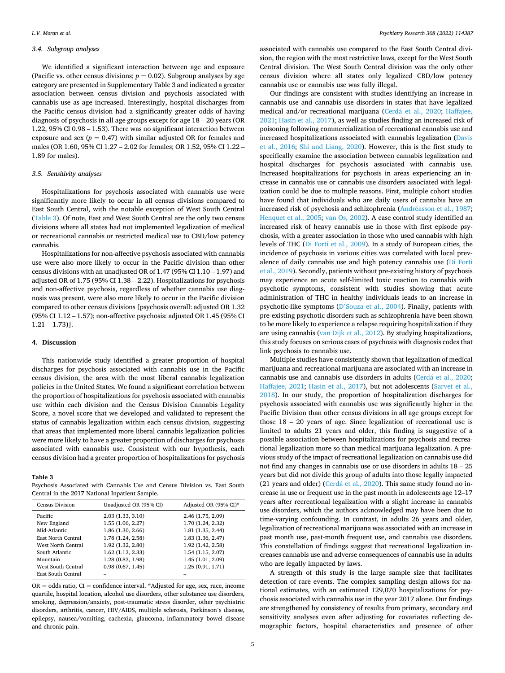# *3.4. Subgroup analyses*

We identified a significant interaction between age and exposure (Pacific vs. other census divisions;  $p = 0.02$ ). Subgroup analyses by age category are presented in Supplementary Table 3 and indicated a greater association between census division and psychosis associated with cannabis use as age increased. Interestingly, hospital discharges from the Pacific census division had a significantly greater odds of having diagnosis of psychosis in all age groups except for age 18 – 20 years (OR 1.22, 95% CI 0.98 – 1.53). There was no significant interaction between exposure and sex  $(p = 0.47)$  with similar adjusted OR for females and males (OR 1.60, 95% CI 1.27 – 2.02 for females; OR 1.52, 95% CI 1.22 – 1.89 for males).

## *3.5. Sensitivity analyses*

Hospitalizations for psychosis associated with cannabis use were significantly more likely to occur in all census divisions compared to East South Central, with the notable exception of West South Central (Table 3). Of note, East and West South Central are the only two census divisions where all states had not implemented legalization of medical or recreational cannabis or restricted medical use to CBD/low potency cannabis.

Hospitalizations for non-affective psychosis associated with cannabis use were also more likely to occur in the Pacific division than other census divisions with an unadjusted OR of 1.47 (95% CI 1.10 – 1.97) and adjusted OR of 1.75 (95% CI 1.38 – 2.22). Hospitalizations for psychosis and non-affective psychosis, regardless of whether cannabis use diagnosis was present, were also more likely to occur in the Pacific division compared to other census divisions [psychosis overall: adjusted OR 1.32 (95% CI 1.12 – 1.57); non-affective psychosis: adjusted OR 1.45 (95% CI 1.21 – 1.73)].

# **4. Discussion**

This nationwide study identified a greater proportion of hospital discharges for psychosis associated with cannabis use in the Pacific census division, the area with the most liberal cannabis legalization policies in the United States. We found a significant correlation between the proportion of hospitalizations for psychosis associated with cannabis use within each division and the Census Division Cannabis Legality Score, a novel score that we developed and validated to represent the status of cannabis legalization within each census division, suggesting that areas that implemented more liberal cannabis legalization policies were more likely to have a greater proportion of discharges for psychosis associated with cannabis use. Consistent with our hypothesis, each census division had a greater proportion of hospitalizations for psychosis

#### **Table 3**

Psychosis Associated with Cannabis Use and Census Division vs. East South Central in the 2017 National Inpatient Sample.

| <b>Census Division</b> | Unadjusted OR (95% CI) | Adjusted OR (95% CI)* |
|------------------------|------------------------|-----------------------|
| Pacific                | 2.03(1.33, 3.10)       | 2.46 (1.75, 2.09)     |
| New England            | 1.55 (1.06, 2.27)      | 1.70 (1.24, 2.32)     |
| Mid-Atlantic           | 1.86 (1.30, 2.66)      | 1.81 (1.35, 2.44)     |
| East North Central     | 1.78 (1.24, 2.58)      | 1.83 (1.36, 2.47)     |
| West North Central     | 1.92 (1.32, 2.80)      | 1.92 (1.42, 2.58)     |
| South Atlantic         | 1.62(1.13, 2.33)       | 1.54 (1.15, 2.07)     |
| Mountain               | 1.28 (0.83, 1.98)      | 1.45 (1.01, 2.09)     |
| West South Central     | 0.98(0.67, 1.45)       | 1.25 (0.91, 1.71)     |
| East South Central     |                        |                       |

 $OR = odds ratio, CI = confidence interval. * Adjusted for age, sex, race, income$ quartile, hospital location, alcohol use disorders, other substance use disorders, smoking, depression/anxiety, post-traumatic stress disorder, other psychiatric disorders, arthritis, cancer, HIV/AIDS, multiple sclerosis, Parkinson's disease, epilepsy, nausea/vomiting, cachexia, glaucoma, inflammatory bowel disease and chronic pain.

associated with cannabis use compared to the East South Central division, the region with the most restrictive laws, except for the West South Central division. The West South Central division was the only other census division where all states only legalized CBD/low potency cannabis use or cannabis use was fully illegal.

Our findings are consistent with studies identifying an increase in cannabis use and cannabis use disorders in states that have legalized medical and/or recreational marijuana (Cerdá [et al., 2020](#page-5-0); Haffajee, [2021; Hasin et al., 2017](#page-5-0)), as well as studies finding an increased risk of poisoning following commercialization of recreational cannabis use and increased hospitalizations associated with cannabis legalization [\(Davis](#page-5-0)  [et al., 2016](#page-5-0); [Shi and Liang, 2020\)](#page-6-0). However, this is the first study to specifically examine the association between cannabis legalization and hospital discharges for psychosis associated with cannabis use. Increased hospitalizations for psychosis in areas experiencing an increase in cannabis use or cannabis use disorders associated with legalization could be due to multiple reasons. First, multiple cohort studies have found that individuals who are daily users of cannabis have an increased risk of psychosis and schizophrenia (Andréasson et al., 1987; [Henquet et al., 2005](#page-5-0); [van Os, 2002\)](#page-6-0). A case control study identified an increased risk of heavy cannabis use in those with first episode psychosis, with a greater association in those who used cannabis with high levels of THC [\(Di Forti et al., 2009](#page-5-0)). In a study of European cities, the incidence of psychosis in various cities was correlated with local prevalence of daily cannabis use and high potency cannabis use ([Di Forti](#page-5-0)  [et al., 2019](#page-5-0)). Secondly, patients without pre-existing history of psychosis may experience an acute self-limited toxic reaction to cannabis with psychotic symptoms, consistent with studies showing that acute administration of THC in healthy individuals leads to an increase in psychotic-like symptoms (D'[Souza et al., 2004](#page-5-0)). Finally, patients with pre-existing psychotic disorders such as schizophrenia have been shown to be more likely to experience a relapse requiring hospitalization if they are using cannabis [\(van Dijk et al., 2012\)](#page-6-0). By studying hospitalizations, this study focuses on serious cases of psychosis with diagnosis codes that link psychosis to cannabis use.

Multiple studies have consistently shown that legalization of medical marijuana and recreational marijuana are associated with an increase in cannabis use and cannabis use disorders in adults (Cerdá [et al., 2020](#page-5-0); [Haffajee, 2021](#page-5-0); [Hasin et al., 2017\)](#page-5-0), but not adolescents [\(Sarvet et al.,](#page-6-0)  [2018\)](#page-6-0). In our study, the proportion of hospitalization discharges for psychosis associated with cannabis use was significantly higher in the Pacific Division than other census divisions in all age groups except for those 18 – 20 years of age. Since legalization of recreational use is limited to adults 21 years and older, this finding is suggestive of a possible association between hospitalizations for psychosis and recreational legalization more so than medical marijuana legalization. A previous study of the impact of recreational legalization on cannabis use did not find any changes in cannabis use or use disorders in adults 18 – 25 years but did not divide this group of adults into those legally impacted (21 years and older) (Cerdá et al.,  $2020$ ). This same study found no increase in use or frequent use in the past month in adolescents age 12–17 years after recreational legalization with a slight increase in cannabis use disorders, which the authors acknowledged may have been due to time-varying confounding. In contrast, in adults 26 years and older, legalization of recreational marijuana was associated with an increase in past month use, past-month frequent use, and cannabis use disorders. This constellation of findings suggest that recreational legalization increases cannabis use and adverse consequences of cannabis use in adults who are legally impacted by laws.

A strength of this study is the large sample size that facilitates detection of rare events. The complex sampling design allows for national estimates, with an estimated 129,070 hospitalizations for psychosis associated with cannabis use in the year 2017 alone. Our findings are strengthened by consistency of results from primary, secondary and sensitivity analyses even after adjusting for covariates reflecting demographic factors, hospital characteristics and presence of other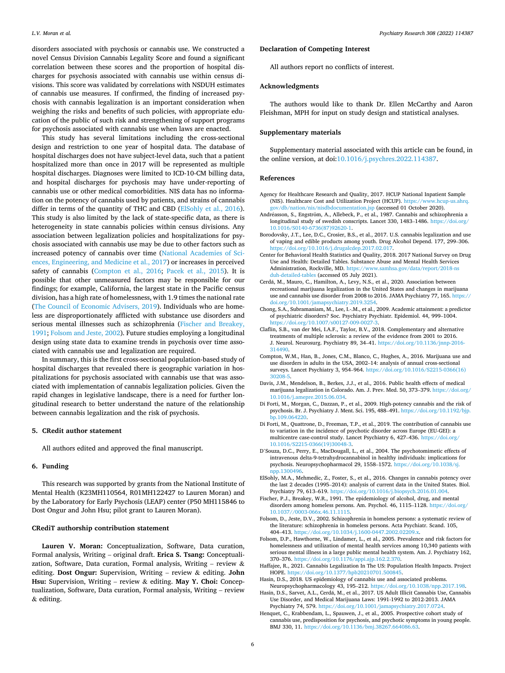<span id="page-5-0"></span>disorders associated with psychosis or cannabis use. We constructed a novel Census Division Cannabis Legality Score and found a significant correlation between these scores and the proportion of hospital discharges for psychosis associated with cannabis use within census divisions. This score was validated by correlations with NSDUH estimates of cannabis use measures. If confirmed, the finding of increased psychosis with cannabis legalization is an important consideration when weighing the risks and benefits of such policies, with appropriate education of the public of such risk and strengthening of support programs for psychosis associated with cannabis use when laws are enacted.

This study has several limitations including the cross-sectional design and restriction to one year of hospital data. The database of hospital discharges does not have subject-level data, such that a patient hospitalized more than once in 2017 will be represented as multiple hospital discharges. Diagnoses were limited to ICD-10-CM billing data, and hospital discharges for psychosis may have under-reporting of cannabis use or other medical comorbidities. NIS data has no information on the potency of cannabis used by patients, and strains of cannabis differ in terms of the quantity of THC and CBD (ElSohly et al., 2016). This study is also limited by the lack of state-specific data, as there is heterogeneity in state cannabis policies within census divisions. Any association between legalization policies and hospitalizations for psychosis associated with cannabis use may be due to other factors such as increased potency of cannabis over time ([National Academies of Sci](#page-6-0)[ences, Engineering, and Medicine et al., 2017\)](#page-6-0) or increases in perceived safety of cannabis (Compton et al., 2016; [Pacek et al., 2015\)](#page-6-0). It is possible that other unmeasured factors may be responsible for our findings; for example, California, the largest state in the Pacific census division, has a high rate of homelessness, with 1.9 times the national rate ([The Council of Economic Advisers, 2019](#page-6-0)). Individuals who are homeless are disproportionately afflicted with substance use disorders and serious mental illnesses such as schizophrenia (Fischer and Breakey, 1991; Folsom and Jeste, 2002). Future studies employing a longitudinal design using state data to examine trends in psychosis over time associated with cannabis use and legalization are required.

In summary, this is the first cross-sectional population-based study of hospital discharges that revealed there is geographic variation in hospitalizations for psychosis associated with cannabis use that was associated with implementation of cannabis legalization policies. Given the rapid changes in legislative landscape, there is a need for further longitudinal research to better understand the nature of the relationship between cannabis legalization and the risk of psychosis.

# **5. CRedit author statement**

All authors edited and approved the final manuscript.

# **6. Funding**

This research was supported by grants from the National Institute of Mental Health (K23MH110564, R01MH122427 to Lauren Moran) and by the Laboratory for Early Psychosis (LEAP) center (P50 MH115846 to Dost Ongur and John Hsu; pilot grant to Lauren Moran).

# **CRediT authorship contribution statement**

**Lauren V. Moran:** Conceptualization, Software, Data curation, Formal analysis, Writing – original draft. **Erica S. Tsang:** Conceptualization, Software, Data curation, Formal analysis, Writing - review  $\&$ editing. **Dost Ongur:** Supervision, Writing – review & editing. **John Hsu:** Supervision, Writing – review & editing. **May Y. Choi:** Conceptualization, Software, Data curation, Formal analysis, Writing – review & editing.

## **Declaration of Competing Interest**

All authors report no conflicts of interest.

## **Acknowledgments**

The authors would like to thank Dr. Ellen McCarthy and Aaron Fleishman, MPH for input on study design and statistical analyses.

# **Supplementary materials**

Supplementary material associated with this article can be found, in the online version, at doi:[10.1016/j.psychres.2022.114387.](https://doi.org/10.1016/j.psychres.2022.114387)

#### **References**

- Agency for Healthcare Research and Quality, 2017. HCUP National Inpatient Sample (NIS). Healthcare Cost and Utilization Project (HCUP). [https://www.hcup-us.ahrq.](https://www.hcup-us.ahrq.gov/db/nation/nis/nisdbdocumentation.jsp)  [gov/db/nation/nis/nisdbdocumentation.jsp](https://www.hcup-us.ahrq.gov/db/nation/nis/nisdbdocumentation.jsp) (accessed 01 October 2020).
- Andréasson, S., Engström, A., Allebeck, P., et al., 1987. Cannabis and schizophrenia a longitudinal study of swedish conscripts. Lancet 330, 1483–1486. [https://doi.org/](https://doi.org/10.1016/S0140-6736(87)92620-1) [10.1016/S0140-6736\(87\)92620-1.](https://doi.org/10.1016/S0140-6736(87)92620-1)
- Borodovsky, J.T., Lee, D.C., Crosier, B.S., et al., 2017. U.S. cannabis legalization and use of vaping and edible products among youth. Drug Alcohol Depend. 177, 299–306. <https://doi.org/10.1016/j.drugalcdep.2017.02.017>.
- Center for Behavioral Health Statistics and Quality, 2018. 2017 National Survey on Drug Use and Health: Detailed Tables. Substance Abuse and Mental Health Services Administration, Rockville, MD. [https://www.samhsa.gov/data/report/2018-ns](https://www.samhsa.gov/data/report/2018-nsduh-detailed-tables)  [duh-detailed-tables](https://www.samhsa.gov/data/report/2018-nsduh-detailed-tables) (accessed 05 July 2021).
- Cerdá, M., Mauro, C., Hamilton, A., Levy, N.S., et al., 2020. Association between recreational marijuana legalization in the United States and changes in marijuana use and cannabis use disorder from 2008 to 2016. JAMA Psychiatry 77, 165. [https://](https://doi.org/10.1001/jamapsychiatry.2019.3254)  [doi.org/10.1001/jamapsychiatry.2019.3254.](https://doi.org/10.1001/jamapsychiatry.2019.3254)
- Chong, S.A., Subramaniam, M., Lee, I.-.M., et al., 2009. Academic attainment: a predictor of psychiatric disorders? Soc. Psychiatry Psychiatr. Epidemiol. 44, 999–1004.  $\frac{1}{\sqrt{6}}$ oi.org/10.1007/s00127-009-002
- Claflin, S.B., van der Mei, I.A.F., Taylor, B.V., 2018. Complementary and alternative treatments of multiple sclerosis: a review of the evidence from 2001 to 2016. J. Neurol. Neurosurg. Psychiatry 89, 34–41. [https://doi.org/10.1136/jnnp-2016-](https://doi.org/10.1136/jnnp-2016-314490)  [314490](https://doi.org/10.1136/jnnp-2016-314490).
- Compton, W.M., Han, B., Jones, C.M., Blanco, C., Hughes, A., 2016. Marijuana use and use disorders in adults in the USA, 2002–14: analysis of annual cross-sectional surveys. Lancet Psychiatry 3, 954–964. [https://doi.org/10.1016/S2215-0366\(16\)](https://doi.org/10.1016/S2215-0366(16)30208-5)  30208-
- Davis, J.M., Mendelson, B., Berkes, J.J., et al., 2016. Public health effects of medical marijuana legalization in Colorado. Am. J. Prev. Med. 50, 373–379. [https://doi.org/](https://doi.org/10.1016/j.amepre.2015.06.034)  [10.1016/j.amepre.2015.06.034](https://doi.org/10.1016/j.amepre.2015.06.034).
- Di Forti, M., Morgan, C., Dazzan, P., et al., 2009. High-potency cannabis and the risk of psychosis. Br. J. Psychiatry J. Ment. Sci. 195, 488–491. [https://doi.org/10.1192/bjp.](https://doi.org/10.1192/bjp.bp.109.064220)  [bp.109.064220.](https://doi.org/10.1192/bjp.bp.109.064220)
- Di Forti, M., Quattrone, D., Freeman, T.P., et al., 2019. The contribution of cannabis use to variation in the incidence of psychotic disorder across Europe (EU-GEI): a multicentre case-control study. Lancet Psychiatry 6, 427–436. [https://doi.org/](https://doi.org/10.1016/S2215-0366(19)30048-3) [10.1016/S2215-0366\(19\)30048-3.](https://doi.org/10.1016/S2215-0366(19)30048-3)
- D'Souza, D.C., Perry, E., MacDougall, L., et al., 2004. The psychotomimetic effects of intravenous delta-9-tetrahydrocannabinol in healthy individuals: implications for psychosis. Neuropsychopharmacol 29, 1558–1572. [https://doi.org/10.1038/sj.](https://doi.org/10.1038/sj.npp.1300496)  [npp.1300496](https://doi.org/10.1038/sj.npp.1300496).
- ElSohly, M.A., Mehmedic, Z., Foster, S., et al., 2016. Changes in cannabis potency over the last 2 decades (1995–2014): analysis of current data in the United States. Biol. Psychiatry 79, 613–619. <https://doi.org/10.1016/j.biopsych.2016.01.004>.
- Fischer, P.J., Breakey, W.R., 1991. The epidemiology of alcohol, drug, and mental disorders among homeless persons. Am. Psychol. 46, 1115–1128. [https://doi.org/](https://doi.org/10.1037//0003-066x.46.11.1115) [10.1037//0003-066x.46.11.1115.](https://doi.org/10.1037//0003-066x.46.11.1115)
- Folsom, D., Jeste, D.V., 2002. Schizophrenia in homeless persons: a systematic review of the literature: schizophrenia in homeless persons. Acta Psychiatr. Scand. 105, 404–413. <https://doi.org/10.1034/j.1600-0447.2002.02209.x>.
- Folsom, D.P., Hawthorne, W., Lindamer, L., et al., 2005. Prevalence and risk factors for homelessness and utilization of mental health services among 10,340 patients with serious mental illness in a large public mental health system. Am. J. Psychiatry 162, 370–376. <https://doi.org/10.1176/appi.ajp.162.2.370>.
- Haffajee, R., 2021. Cannabis Legalization In The US: Population Health Impacts. Project HOPE. [https://doi.org/10.1377/hpb20210701.500845.](https://doi.org/10.1377/hpb20210701.500845)
- Hasin, D.S., 2018. US epidemiology of cannabis use and associated problems. Neuropsychopharmacology 43, 195–212. [https://doi.org/10.1038/npp.2017.198.](https://doi.org/10.1038/npp.2017.198)
- Hasin, D.S., Sarvet, A.L., Cerdá, M., et al., 2017. US Adult Illicit Cannabis Use, Cannabis Use Disorder, and Medical Marijuana Laws: 1991-1992 to 2012-2013. JAMA Psychiatry 74, 579. <https://doi.org/10.1001/jamapsychiatry.2017.0724>.
- Henquet, C., Krabbendam, L., Spauwen, J., et al., 2005. Prospective cohort study of cannabis use, predisposition for psychosis, and psychotic symptoms in young people. BMJ 330, 11. [https://doi.org/10.1136/bmj.38267.664086.63.](https://doi.org/10.1136/bmj.38267.664086.63)